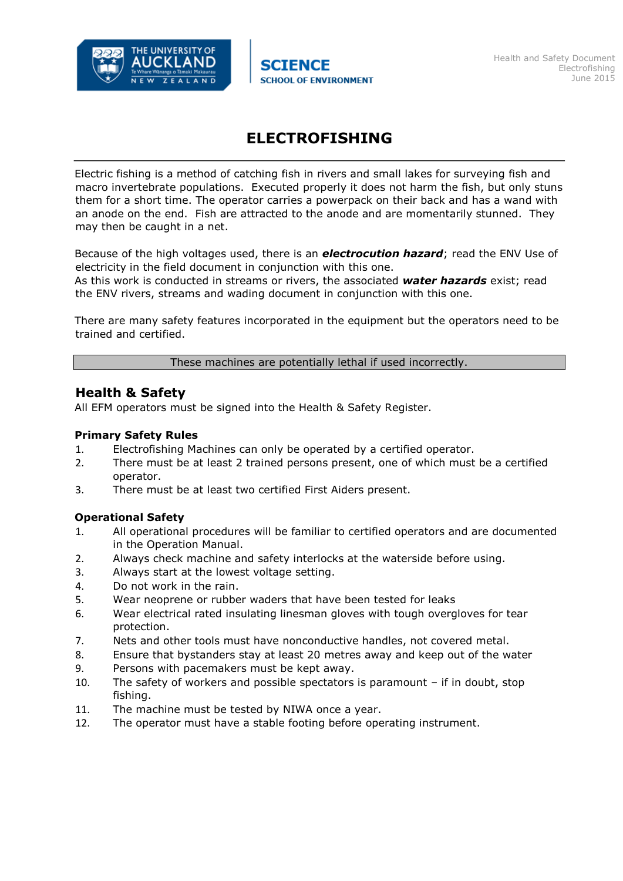

# **ELECTROFISHING**

Electric fishing is a method of catching fish in rivers and small lakes for surveying fish and macro invertebrate populations. Executed properly it does not harm the fish, but only stuns them for a short time. The operator carries a powerpack on their back and has a wand with an anode on the end. Fish are attracted to the anode and are momentarily stunned. They may then be caught in a net.

Because of the high voltages used, there is an *electrocution hazard*; read the ENV Use of electricity in the field document in conjunction with this one.

As this work is conducted in streams or rivers, the associated *water hazards* exist; read the ENV rivers, streams and wading document in conjunction with this one.

There are many safety features incorporated in the equipment but the operators need to be trained and certified.

These machines are potentially lethal if used incorrectly.

## **Health & Safety**

All EFM operators must be signed into the Health & Safety Register.

### **Primary Safety Rules**

- 1. Electrofishing Machines can only be operated by a certified operator.
- 2. There must be at least 2 trained persons present, one of which must be a certified operator.
- 3. There must be at least two certified First Aiders present.

### **Operational Safety**

- 1. All operational procedures will be familiar to certified operators and are documented in the Operation Manual.
- 2. Always check machine and safety interlocks at the waterside before using.
- 3. Always start at the lowest voltage setting.
- 4. Do not work in the rain.
- 5. Wear neoprene or rubber waders that have been tested for leaks
- 6. Wear electrical rated insulating linesman gloves with tough overgloves for tear protection.
- 7. Nets and other tools must have nonconductive handles, not covered metal.
- 8. Ensure that bystanders stay at least 20 metres away and keep out of the water
- 9. Persons with pacemakers must be kept away.
- 10. The safety of workers and possible spectators is paramount if in doubt, stop fishing.
- 11. The machine must be tested by NIWA once a year.
- 12. The operator must have a stable footing before operating instrument.